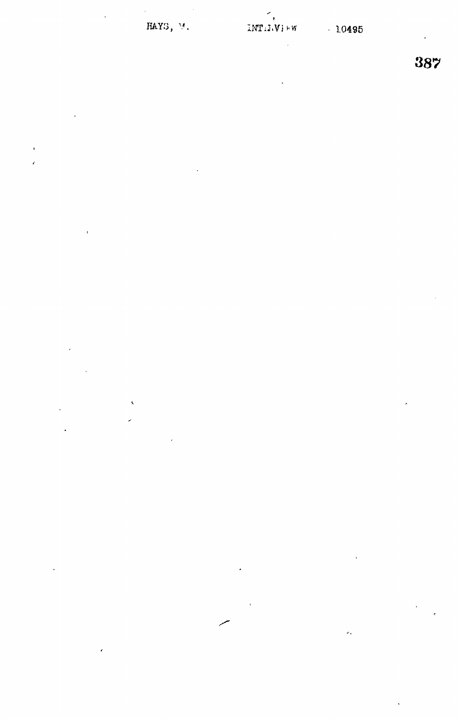$\overline{\mathbf{A}}$ 

 $1.0495$ 

k,

387

 $\ddot{\phantom{0}}$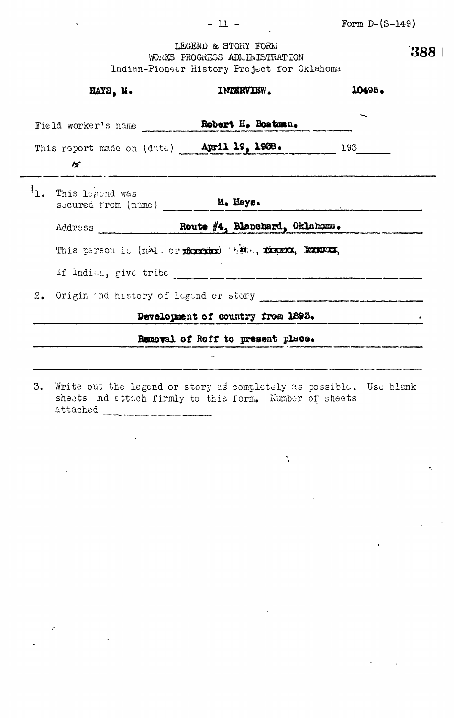|  | $-11$ |  |
|--|-------|--|
|  |       |  |

|                                             |  | LEGEND & STORY FORM           |  |  |
|---------------------------------------------|--|-------------------------------|--|--|
|                                             |  | WORKS PROGRESS ADMINISTRATION |  |  |
| Indian-Pioneer History Project for Oklahoma |  |                               |  |  |

 $388<sup>1</sup>$ 

k,

 $\ddot{\phantom{a}}$ 

|                                   | HAYS, M.                               | INTERVIEW.                                                                                                     | 10495. |  |  |  |  |
|-----------------------------------|----------------------------------------|----------------------------------------------------------------------------------------------------------------|--------|--|--|--|--|
|                                   |                                        | Field worker's name Robert H. Boatman.                                                                         |        |  |  |  |  |
|                                   | ど                                      | This report made on (date) April 19, 1938. 193                                                                 |        |  |  |  |  |
|                                   | 1. This legend was                     | secured from (name) M. Hays.                                                                                   |        |  |  |  |  |
|                                   | Address Route #4, Blanchard, Oklahoma. |                                                                                                                |        |  |  |  |  |
|                                   |                                        | This person is (mal, or recreated in the, riskard, material,                                                   |        |  |  |  |  |
|                                   |                                        |                                                                                                                |        |  |  |  |  |
| 2.                                |                                        | Origin and history of legend or story contains the contract of the contract of the contract of the contract of |        |  |  |  |  |
| Development of country from 1893. |                                        |                                                                                                                |        |  |  |  |  |
|                                   |                                        | Removal of Roff to present place.                                                                              |        |  |  |  |  |
|                                   |                                        |                                                                                                                |        |  |  |  |  |

3. Write out the legend or story as completely as possible. Use blank sheets nd attach firmly to this form. Number of sheets attached

 $\frac{1}{2}$ 

 $\ddot{\phantom{a}}$ 

 $\ddot{\phantom{0}}$ 

 $\mathbf{r}^{\mathrm{c}}$ 

 $\ddot{\phantom{1}}$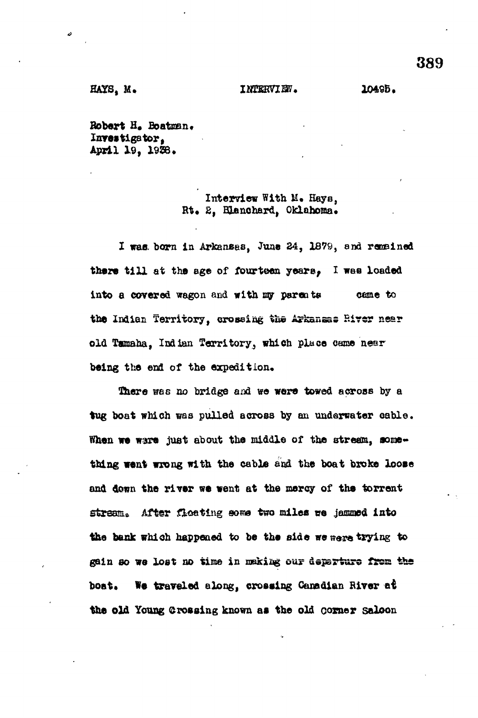**389**

**Robert H« Boatmen,** Investigator, **April 19, 193B.**

> **Interview With U« Hays,** Rt. 2, Blanchard, Oklahoma.

**X was. born In Arkansas, June 24, 1879, and remained there til l at the age of fourteen years, I was loaded into a covered wagon and with ay parents came to** the Indian Territory, crossing the Arkansas Hiver near **old Tamaha, Indian Territory ^ which place came near being the end of the expedition,**

*'Share* **was no bridge and we were towed across by a tug boat which was pulled across by an underwater cable.** When we ware just about the middle of the stream, something went wrong with the cable and the boat broke loose **and down the rirer we went at the mercy of the torrent After floating** *mvm* **two miles we jammed into beck whioh happened to be the side we were trying to** gain so we lost no time in making our departure from the boat. We traveled along, crossing Canadian River at **the old Young Crossing known aa the old corner saloon**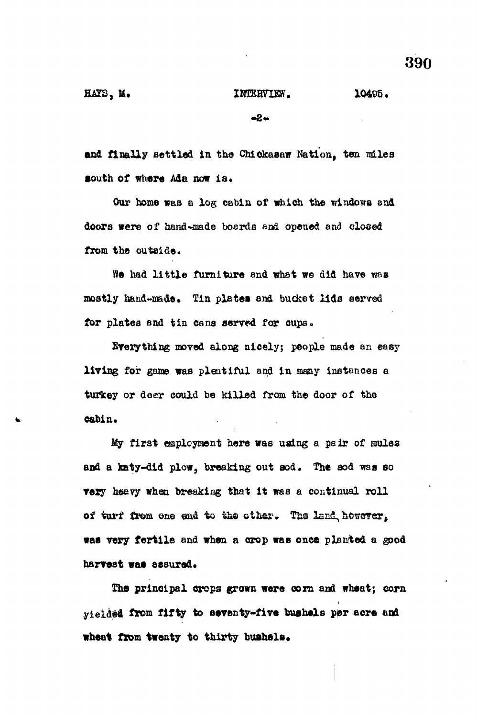INTERVIEW.

10495.

 $-2-$ 

and finally settled in the Chickasaw Nation, ten miles south of where Ada now is.

Our home was a log cabin of which the windows and doors were of hand-made boards and opened and closed from the outside.

We had little furniture and what we did have was mostly hand-made. Tin plates and bucket lids served for plates and tin cans served for cups.

Everything moved along nicely; people made an easy living for game was plentiful and in many instances a turkey or deer could be killed from the door of the cabin.

My first employment here was using a pair of mules and a katy-did plow, breaking out sod. The sod was so very heavy when breaking that it was a continual roll of turf from one end to the other. The land however, was very fertile and when a crop was once planted a good harvest was assured.

The principal crops grown were corn and wheat; corn visided from fifty to seventy-five bushels par acre and wheat from twenty to thirty bushels.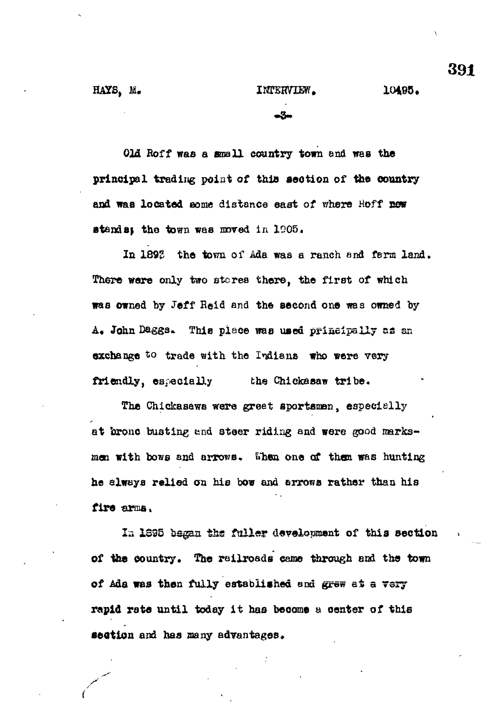Old Roff was a small country town and was the principal trading point of this section of the country and was located some distance east of where Hoff now stands; the town was moved in 1905.

In 1893 the town of Ada was a ranch and ferm land. There were only two stores there, the first of which was owned by Jeff Reid and the second one was owned by A. John Daggs. This place was used principally as an exchange to trade with the Indians who were very friendly, especially the Chiekaaaw tribe.

The Chickasaws were greet sportsmen, especially at bronc busting end steer riding and were good narksmen with bows and arrows. When one of them was hunting he always relied an his bow and arrows rather than his fire arms.

In 1895 began the fuller development of this section of the country. The railroads came through and the town of Ada was then fully established and grew at a very rapid rate until today it has become a center of this section and has many advantages.